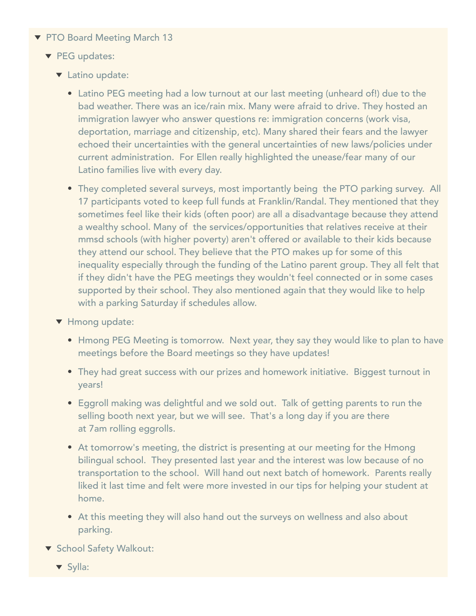- ▼ PTO Board Meeting March 13
	- PEG updates:
		- **v** Latino update:
			- Latino PEG meeting had a low turnout at our last meeting (unheard of!) due to the bad weather. There was an ice/rain mix. Many were afraid to drive. They hosted an immigration lawyer who answer questions re: immigration concerns (work visa, deportation, marriage and citizenship, etc). Many shared their fears and the lawyer echoed their uncertainties with the general uncertainties of new laws/policies under current administration. For Ellen really highlighted the unease/fear many of our Latino families live with every day.
			- They completed several surveys, most importantly being the PTO parking survey. All 17 participants voted to keep full funds at Franklin/Randal. They mentioned that they sometimes feel like their kids (often poor) are all a disadvantage because they attend a wealthy school. Many of the services/opportunities that relatives receive at their mmsd schools (with higher poverty) aren't offered or available to their kids because they attend our school. They believe that the PTO makes up for some of this inequality especially through the funding of the Latino parent group. They all felt that if they didn't have the PEG meetings they wouldn't feel connected or in some cases supported by their school. They also mentioned again that they would like to help with a parking Saturday if schedules allow.
		- ▼ Hmong update:
			- Hmong PEG Meeting is tomorrow. Next year, they say they would like to plan to have meetings before the Board meetings so they have updates!
			- They had great success with our prizes and homework initiative. Biggest turnout in years!
			- Eggroll making was delightful and we sold out. Talk of getting parents to run the selling booth next year, but we will see. That's a long day if you are there at 7am rolling eggrolls.
			- At tomorrow's meeting, the district is presenting at our meeting for the Hmong bilingual school. They presented last year and the interest was low because of no transportation to the school. Will hand out next batch of homework. Parents really liked it last time and felt were more invested in our tips for helping your student at home.
			- At this meeting they will also hand out the surveys on wellness and also about parking.
	- ▼ School Safety Walkout:
		- **v** Sylla: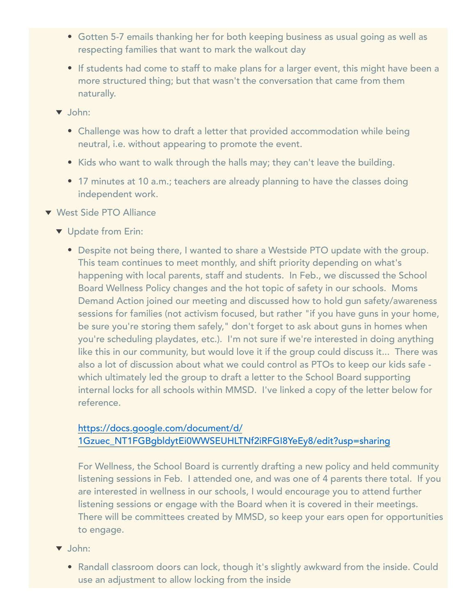- Gotten 5-7 emails thanking her for both keeping business as usual going as well as respecting families that want to mark the walkout day
- If students had come to staff to make plans for a larger event, this might have been a more structured thing; but that wasn't the conversation that came from them naturally.
- v John:
	- Challenge was how to draft a letter that provided accommodation while being neutral, i.e. without appearing to promote the event.
	- Kids who want to walk through the halls may; they can't leave the building.
	- 17 minutes at 10 a.m.; teachers are already planning to have the classes doing independent work.
- ▼ West Side PTO Alliance
	- **v** Update from Erin:
		- Despite not being there, I wanted to share a Westside PTO update with the group. This team continues to meet monthly, and shift priority depending on what's happening with local parents, staff and students. In Feb., we discussed the School Board Wellness Policy changes and the hot topic of safety in our schools. Moms Demand Action joined our meeting and discussed how to hold gun safety/awareness sessions for families (not activism focused, but rather "if you have guns in your home, be sure you're storing them safely," don't forget to ask about guns in homes when you're scheduling playdates, etc.). I'm not sure if we're interested in doing anything like this in our community, but would love it if the group could discuss it... There was also a lot of discussion about what we could control as PTOs to keep our kids safe which ultimately led the group to draft a letter to the School Board supporting internal locks for all schools within MMSD. I've linked a copy of the letter below for reference.

## [https://docs.google.com/document/d/](https://urldefense.proofpoint.com/v2/url?u=https-3A__docs.google.com_document_d_1Gzuec-5FNT1FGBgbldytEi0WWSEUHLTNf2iRFGI8YeEy8_edit-3Fusp-3Dsharing&d=DwMFaQ&c=FC6t9d0KlExe-pgg9iXKnA&r=YNGpBw4nSOpuk236daEbcIOVvEH_yq1ePbeYqL6SjYs&m=9yLR7FLXqS8iatSz_1_2vR3NfR2CCJ72-FE8rLDRdaw&s=cfBS9f_X_N70Ra2Ky8nLreTpNhyZjmod054RfaNr0EE&e=) [1Gzuec\\_NT1FGBgbldytEi0WWSEUHLTNf2iRFGI8YeEy8/edit?usp=sharing](https://urldefense.proofpoint.com/v2/url?u=https-3A__docs.google.com_document_d_1Gzuec-5FNT1FGBgbldytEi0WWSEUHLTNf2iRFGI8YeEy8_edit-3Fusp-3Dsharing&d=DwMFaQ&c=FC6t9d0KlExe-pgg9iXKnA&r=YNGpBw4nSOpuk236daEbcIOVvEH_yq1ePbeYqL6SjYs&m=9yLR7FLXqS8iatSz_1_2vR3NfR2CCJ72-FE8rLDRdaw&s=cfBS9f_X_N70Ra2Ky8nLreTpNhyZjmod054RfaNr0EE&e=)

For Wellness, the School Board is currently drafting a new policy and held community listening sessions in Feb. I attended one, and was one of 4 parents there total. If you are interested in wellness in our schools, I would encourage you to attend further listening sessions or engage with the Board when it is covered in their meetings. There will be committees created by MMSD, so keep your ears open for opportunities to engage.

- $\blacktriangledown$  John:
	- Randall classroom doors can lock, though it's slightly awkward from the inside. Could use an adjustment to allow locking from the inside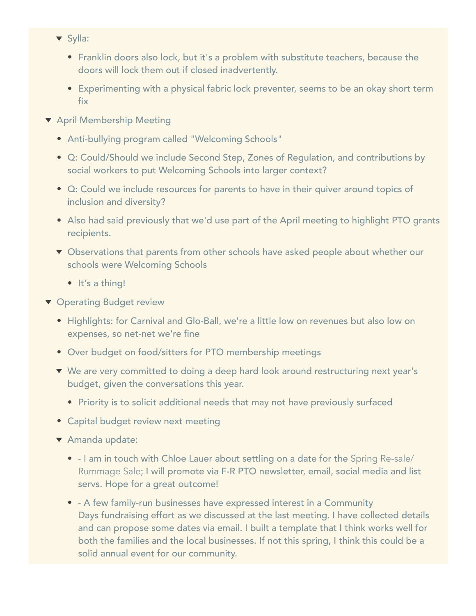- ▼ Sylla:
	- Franklin doors also lock, but it's a problem with substitute teachers, because the doors will lock them out if closed inadvertently.
	- Experimenting with a physical fabric lock preventer, seems to be an okay short term fix
- **T** April Membership Meeting
	- Anti-bullying program called "Welcoming Schools"
	- Q: Could/Should we include Second Step, Zones of Regulation, and contributions by social workers to put Welcoming Schools into larger context?
	- Q: Could we include resources for parents to have in their quiver around topics of inclusion and diversity?
	- Also had said previously that we'd use part of the April meeting to highlight PTO grants recipients.
	- ▼ Observations that parents from other schools have asked people about whether our schools were Welcoming Schools
		- $\cdot$  It's a thing!
- **v** Operating Budget review
	- Highlights: for Carnival and Glo-Ball, we're a little low on revenues but also low on expenses, so net-net we're fine
	- Over budget on food/sitters for PTO membership meetings
	- ▼ We are very committed to doing a deep hard look around restructuring next year's budget, given the conversations this year.
		- Priority is to solicit additional needs that may not have previously surfaced
	- Capital budget review next meeting
	- ▼ Amanda update:
		- I am in touch with Chloe Lauer about settling on a date for the Spring Re-sale/ Rummage Sale; I will promote via F-R PTO newsletter, email, social media and list servs. Hope for a great outcome!
		- A few family-run businesses have expressed interest in a Community Days fundraising effort as we discussed at the last meeting. I have collected details and can propose some dates via email. I built a template that I think works well for both the families and the local businesses. If not this spring, I think this could be a solid annual event for our community.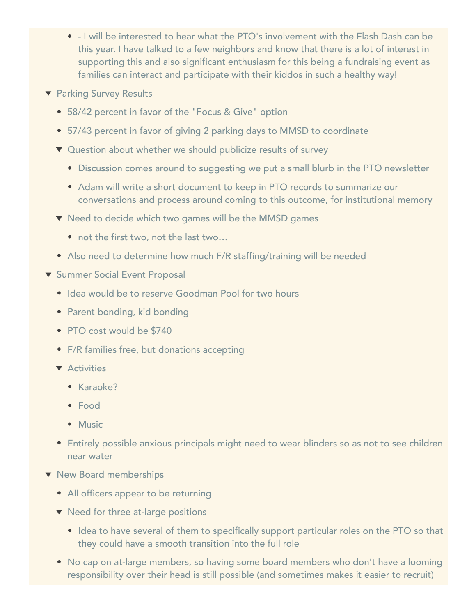- I will be interested to hear what the PTO's involvement with the Flash Dash can be this year. I have talked to a few neighbors and know that there is a lot of interest in supporting this and also significant enthusiasm for this being a fundraising event as families can interact and participate with their kiddos in such a healthy way!
- ▼ Parking Survey Results
	- 58/42 percent in favor of the "Focus & Give" option
	- 57/43 percent in favor of giving 2 parking days to MMSD to coordinate
	- ▼ Question about whether we should publicize results of survey
		- Discussion comes around to suggesting we put a small blurb in the PTO newsletter
		- Adam will write a short document to keep in PTO records to summarize our conversations and process around coming to this outcome, for institutional memory
	- ▼ Need to decide which two games will be the MMSD games
		- not the first two, not the last two...
	- Also need to determine how much F/R staffing/training will be needed
- **v** Summer Social Event Proposal
	- Idea would be to reserve Goodman Pool for two hours
	- Parent bonding, kid bonding
	- PTO cost would be \$740
	- F/R families free, but donations accepting
	- **T** Activities
		- Karaoke?
		- Food
		- Music
	- Entirely possible anxious principals might need to wear blinders so as not to see children near water
- $\blacktriangledown$  New Board memberships
	- All officers appear to be returning
	- $\blacktriangledown$  Need for three at-large positions
		- Idea to have several of them to specifically support particular roles on the PTO so that they could have a smooth transition into the full role
	- No cap on at-large members, so having some board members who don't have a looming responsibility over their head is still possible (and sometimes makes it easier to recruit)